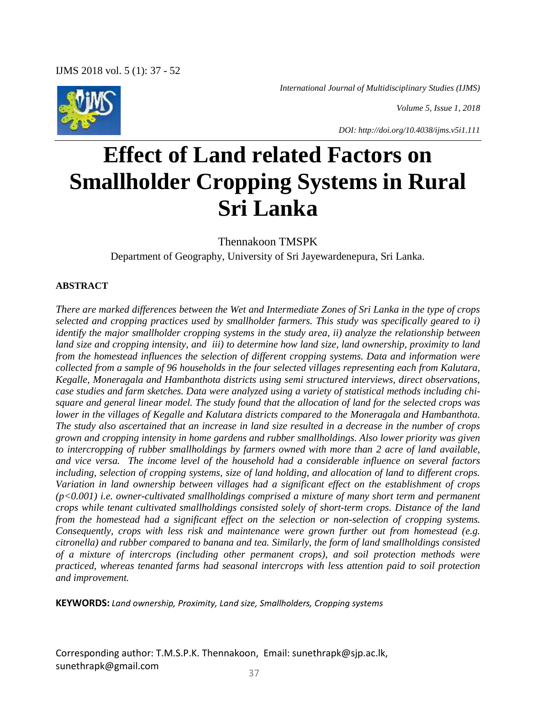IJMS 2018 vol. 5 (1): 37 - 52

*International Journal of Multidisciplinary Studies (IJMS)*



*Volume 5, Issue 1, 2018*

*DOI: http://doi.org/10.4038/ijms.v5i1.111*

# **Effect of Land related Factors on Smallholder Cropping Systems in Rural Sri Lanka**

Thennakoon TMSPK

Department of Geography, University of Sri Jayewardenepura, Sri Lanka.

# **ABSTRACT**

*There are marked differences between the Wet and Intermediate Zones of Sri Lanka in the type of crops selected and cropping practices used by smallholder farmers. This study was specifically geared to i) identify the major smallholder cropping systems in the study area, ii) analyze the relationship between land size and cropping intensity, and iii) to determine how land size, land ownership, proximity to land from the homestead influences the selection of different cropping systems. Data and information were collected from a sample of 96 households in the four selected villages representing each from Kalutara, Kegalle, Moneragala and Hambanthota districts using semi structured interviews, direct observations, case studies and farm sketches. Data were analyzed using a variety of statistical methods including chisquare and general linear model. The study found that the allocation of land for the selected crops was lower in the villages of Kegalle and Kalutara districts compared to the Moneragala and Hambanthota. The study also ascertained that an increase in land size resulted in a decrease in the number of crops grown and cropping intensity in home gardens and rubber smallholdings. Also lower priority was given to intercropping of rubber smallholdings by farmers owned with more than 2 acre of land available, and vice versa. The income level of the household had a considerable influence on several factors including, selection of cropping systems, size of land holding, and allocation of land to different crops. Variation in land ownership between villages had a significant effect on the establishment of crops (p<0.001) i.e. owner-cultivated smallholdings comprised a mixture of many short term and permanent crops while tenant cultivated smallholdings consisted solely of short-term crops. Distance of the land from the homestead had a significant effect on the selection or non-selection of cropping systems. Consequently, crops with less risk and maintenance were grown further out from homestead (e.g. citronella) and rubber compared to banana and tea. Similarly, the form of land smallholdings consisted of a mixture of intercrops (including other permanent crops), and soil protection methods were practiced, whereas tenanted farms had seasonal intercrops with less attention paid to soil protection and improvement.*

**KEYWORDS:** *Land ownership, Proximity, Land size, Smallholders, Cropping systems*

Corresponding author: T.M.S.P.K. Thennakoon, Email: sunethrapk@sjp.ac.lk, sunethrapk@gmail.com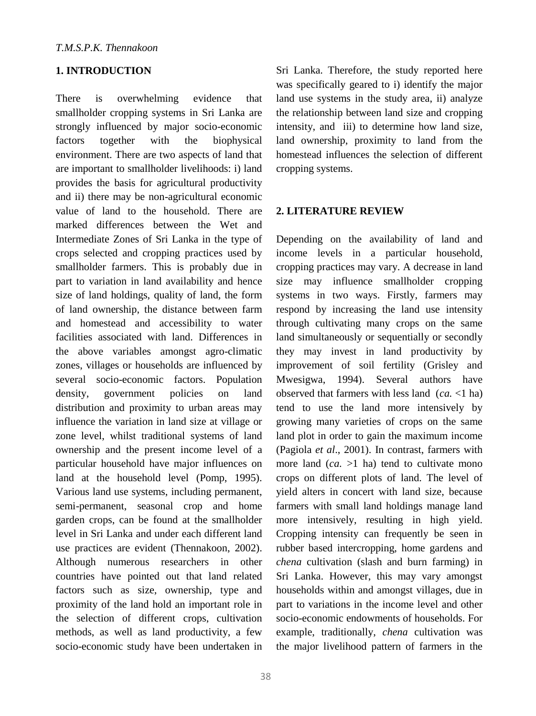# **1. INTRODUCTION**

There is overwhelming evidence that smallholder cropping systems in Sri Lanka are strongly influenced by major socio-economic factors together with the biophysical environment. There are two aspects of land that are important to smallholder livelihoods: i) land provides the basis for agricultural productivity and ii) there may be non-agricultural economic value of land to the household. There are marked differences between the Wet and Intermediate Zones of Sri Lanka in the type of crops selected and cropping practices used by smallholder farmers. This is probably due in part to variation in land availability and hence size of land holdings, quality of land, the form of land ownership, the distance between farm and homestead and accessibility to water facilities associated with land. Differences in the above variables amongst agro-climatic zones, villages or households are influenced by several socio-economic factors. Population density, government policies on land distribution and proximity to urban areas may influence the variation in land size at village or zone level, whilst traditional systems of land ownership and the present income level of a particular household have major influences on land at the household level (Pomp, 1995). Various land use systems, including permanent, semi-permanent, seasonal crop and home garden crops, can be found at the smallholder level in Sri Lanka and under each different land use practices are evident (Thennakoon, 2002). Although numerous researchers in other countries have pointed out that land related factors such as size, ownership, type and proximity of the land hold an important role in the selection of different crops, cultivation methods, as well as land productivity, a few socio-economic study have been undertaken in

Sri Lanka. Therefore, the study reported here was specifically geared to i) identify the major land use systems in the study area, ii) analyze the relationship between land size and cropping intensity, and iii) to determine how land size, land ownership, proximity to land from the homestead influences the selection of different cropping systems.

# **2. LITERATURE REVIEW**

Depending on the availability of land and income levels in a particular household, cropping practices may vary. A decrease in land size may influence smallholder cropping systems in two ways. Firstly, farmers may respond by increasing the land use intensity through cultivating many crops on the same land simultaneously or sequentially or secondly they may invest in land productivity by improvement of soil fertility (Grisley and Mwesigwa, 1994). Several authors have observed that farmers with less land (*ca.* <1 ha) tend to use the land more intensively by growing many varieties of crops on the same land plot in order to gain the maximum income (Pagiola *et al*., 2001). In contrast, farmers with more land (*ca.* >1 ha) tend to cultivate mono crops on different plots of land. The level of yield alters in concert with land size, because farmers with small land holdings manage land more intensively, resulting in high yield. Cropping intensity can frequently be seen in rubber based intercropping, home gardens and *chena* cultivation (slash and burn farming) in Sri Lanka. However, this may vary amongst households within and amongst villages, due in part to variations in the income level and other socio-economic endowments of households. For example, traditionally, *chena* cultivation was the major livelihood pattern of farmers in the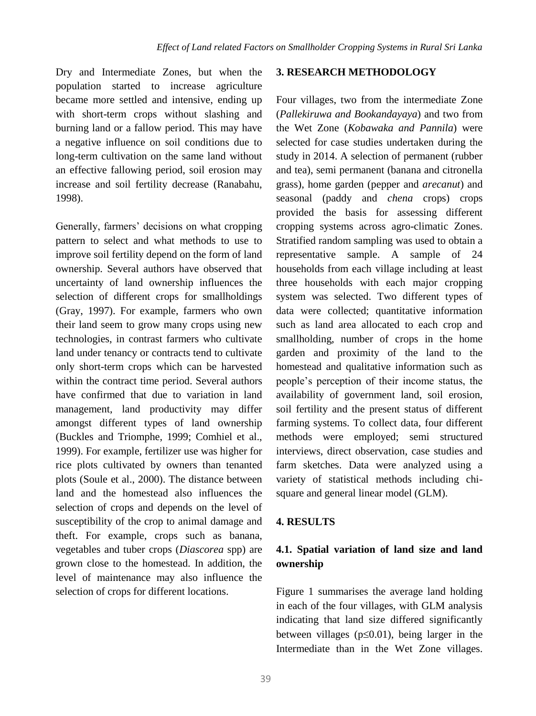Dry and Intermediate Zones, but when the population started to increase agriculture became more settled and intensive, ending up with short-term crops without slashing and burning land or a fallow period. This may have a negative influence on soil conditions due to long-term cultivation on the same land without an effective fallowing period, soil erosion may increase and soil fertility decrease (Ranabahu, 1998).

Generally, farmers' decisions on what cropping pattern to select and what methods to use to improve soil fertility depend on the form of land ownership. Several authors have observed that uncertainty of land ownership influences the selection of different crops for smallholdings (Gray, 1997). For example, farmers who own their land seem to grow many crops using new technologies, in contrast farmers who cultivate land under tenancy or contracts tend to cultivate only short-term crops which can be harvested within the contract time period. Several authors have confirmed that due to variation in land management, land productivity may differ amongst different types of land ownership (Buckles and Triomphe, 1999; Comhiel et al., 1999). For example, fertilizer use was higher for rice plots cultivated by owners than tenanted plots (Soule et al., 2000). The distance between land and the homestead also influences the selection of crops and depends on the level of susceptibility of the crop to animal damage and theft. For example, crops such as banana, vegetables and tuber crops (*Diascorea* spp) are grown close to the homestead. In addition, the level of maintenance may also influence the selection of crops for different locations.

#### **3. RESEARCH METHODOLOGY**

Four villages, two from the intermediate Zone (*Pallekiruwa and Bookandayaya*) and two from the Wet Zone (*Kobawaka and Pannila*) were selected for case studies undertaken during the study in 2014. A selection of permanent (rubber and tea), semi permanent (banana and citronella grass), home garden (pepper and *arecanut*) and seasonal (paddy and *chena* crops) crops provided the basis for assessing different cropping systems across agro-climatic Zones. Stratified random sampling was used to obtain a representative sample. A sample of 24 households from each village including at least three households with each major cropping system was selected. Two different types of data were collected; quantitative information such as land area allocated to each crop and smallholding, number of crops in the home garden and proximity of the land to the homestead and qualitative information such as people's perception of their income status, the availability of government land, soil erosion, soil fertility and the present status of different farming systems. To collect data, four different methods were employed; semi structured interviews, direct observation, case studies and farm sketches. Data were analyzed using a variety of statistical methods including chisquare and general linear model (GLM).

# **4. RESULTS**

# **4.1. Spatial variation of land size and land ownership**

Figure 1 summarises the average land holding in each of the four villages, with GLM analysis indicating that land size differed significantly between villages ( $p \le 0.01$ ), being larger in the Intermediate than in the Wet Zone villages.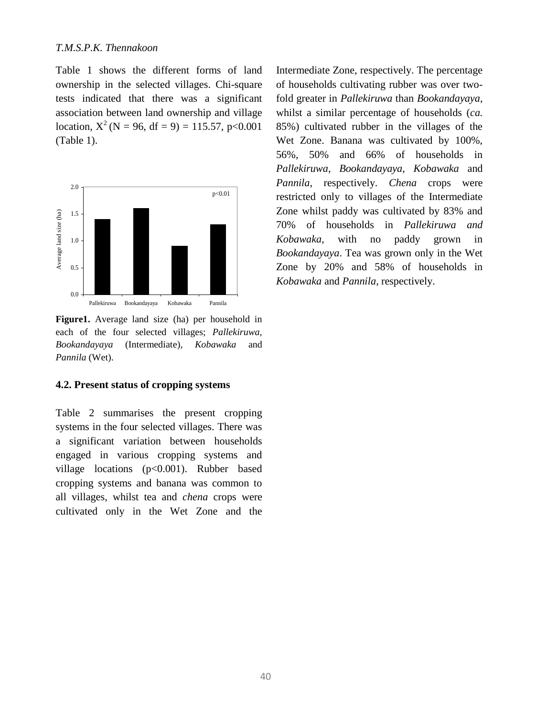#### *T.M.S.P.K. Thennakoon*

Table 1 shows the different forms of land ownership in the selected villages. Chi-square tests indicated that there was a significant association between land ownership and village location,  $X^2$  (N = 96, df = 9) = 115.57, p<0.001 (Table 1).



**Figure1.** Average land size (ha) per household in each of the four selected villages; *Pallekiruwa, Bookandayaya* (Intermediate), *Kobawaka* and *Pannila* (Wet).

# **4.2. Present status of cropping systems**

Table 2 summarises the present cropping systems in the four selected villages. There was a significant variation between households engaged in various cropping systems and village locations (p<0.001). Rubber based cropping systems and banana was common to all villages, whilst tea and *chena* crops were cultivated only in the Wet Zone and the

Intermediate Zone, respectively. The percentage of households cultivating rubber was over twofold greater in *Pallekiruwa* than *Bookandayaya*, whilst a similar percentage of households (*ca.* 85%) cultivated rubber in the villages of the Wet Zone. Banana was cultivated by 100%, 56%, 50% and 66% of households in *Pallekiruwa*, *Bookandayaya*, *Kobawaka* and *Pannila*, respectively. *Chena* crops were restricted only to villages of the Intermediate Zone whilst paddy was cultivated by 83% and 70% of households in *Pallekiruwa and Kobawaka*, with no paddy grown in *Bookandayaya*. Tea was grown only in the Wet Zone by 20% and 58% of households in *Kobawaka* and *Pannila*, respectively.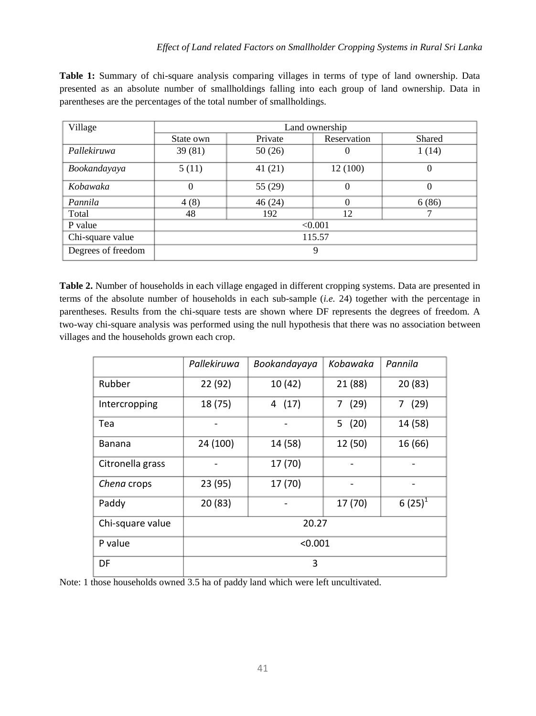| Village            | Land ownership |           |             |          |
|--------------------|----------------|-----------|-------------|----------|
|                    | State own      | Private   | Reservation | Shared   |
| Pallekiruwa        | 39(81)         | 50(26)    | $\theta$    | 1(14)    |
| Bookandayaya       | 5(11)          | 41(21)    | 12 (100)    | $\theta$ |
| Kobawaka           | $\theta$       | 55 $(29)$ | $\theta$    | $\theta$ |
| Pannila            | 4(8)           | 46(24)    | $\Omega$    | 6(86)    |
| Total              | 48             | 192       | 12          |          |
| P value            | < 0.001        |           |             |          |
| Chi-square value   | 115.57         |           |             |          |
| Degrees of freedom | 9              |           |             |          |

**Table 1:** Summary of chi-square analysis comparing villages in terms of type of land ownership. Data presented as an absolute number of smallholdings falling into each group of land ownership. Data in parentheses are the percentages of the total number of smallholdings.

**Table 2.** Number of households in each village engaged in different cropping systems. Data are presented in terms of the absolute number of households in each sub-sample (*i.e.* 24) together with the percentage in parentheses. Results from the chi-square tests are shown where DF represents the degrees of freedom. A two-way chi-square analysis was performed using the null hypothesis that there was no association between villages and the households grown each crop.

|                  | Pallekiruwa | Bookandayaya | Kobawaka  | Pannila   |  |
|------------------|-------------|--------------|-----------|-----------|--|
| Rubber           | 22 (92)     | 10(42)       | 21 (88)   | 20(83)    |  |
| Intercropping    | 18 (75)     | 4(17)        | (29)<br>7 | 7(29)     |  |
| Tea              |             |              | 5(20)     | 14 (58)   |  |
| <b>Banana</b>    | 24 (100)    | 14 (58)      | 12 (50)   | 16 (66)   |  |
| Citronella grass |             | 17 (70)      |           |           |  |
| Chena crops      | 23 (95)     | 17 (70)      |           |           |  |
| Paddy            | 20(83)      |              | 17 (70)   | $6(25)^1$ |  |
| Chi-square value | 20.27       |              |           |           |  |
| P value          | < 0.001     |              |           |           |  |
| DF               | 3           |              |           |           |  |

Note: 1 those households owned 3.5 ha of paddy land which were left uncultivated.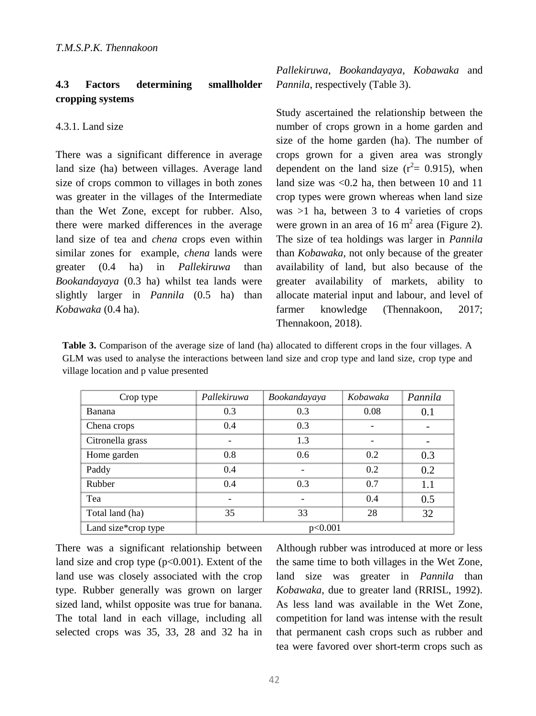# **4.3 Factors determining smallholder cropping systems**

#### 4.3.1. Land size

There was a significant difference in average land size (ha) between villages. Average land size of crops common to villages in both zones was greater in the villages of the Intermediate than the Wet Zone, except for rubber. Also, there were marked differences in the average land size of tea and *chena* crops even within similar zones for example, *chena* lands were greater (0.4 ha) in *Pallekiruwa* than *Bookandayaya* (0.3 ha) whilst tea lands were slightly larger in *Pannila* (0.5 ha) than *Kobawaka* (0.4 ha).

*Pallekiruwa, Bookandayaya, Kobawaka* and *Pannila*, respectively (Table 3).

Study ascertained the relationship between the number of crops grown in a home garden and size of the home garden (ha). The number of crops grown for a given area was strongly dependent on the land size  $(r^2 = 0.915)$ , when land size was <0.2 ha, then between 10 and 11 crop types were grown whereas when land size was  $>1$  ha, between 3 to 4 varieties of crops were grown in an area of 16  $m<sup>2</sup>$  area (Figure 2). The size of tea holdings was larger in *Pannila* than *Kobawaka*, not only because of the greater availability of land, but also because of the greater availability of markets, ability to allocate material input and labour, and level of farmer knowledge (Thennakoon, 2017; Thennakoon, 2018).

**Table 3.** Comparison of the average size of land (ha) allocated to different crops in the four villages. A GLM was used to analyse the interactions between land size and crop type and land size, crop type and village location and p value presented

| Crop type           | Pallekiruwa | Bookandayaya             | Kobawaka | Pannila |
|---------------------|-------------|--------------------------|----------|---------|
| Banana              | 0.3         | 0.3                      | 0.08     | 0.1     |
| Chena crops         | 0.4         | 0.3                      |          |         |
| Citronella grass    |             | 1.3                      |          |         |
| Home garden         | 0.8         | 0.6                      | 0.2      | 0.3     |
| Paddy               | 0.4         |                          | 0.2      | 0.2     |
| Rubber              | 0.4         | 0.3                      | 0.7      | 1.1     |
| Tea                 |             | $\overline{\phantom{0}}$ | 0.4      | 0.5     |
| Total land (ha)     | 35          | 33                       | 28       | 32      |
| Land size*crop type | p<0.001     |                          |          |         |

There was a significant relationship between land size and crop type  $(p<0.001)$ . Extent of the land use was closely associated with the crop type. Rubber generally was grown on larger sized land, whilst opposite was true for banana. The total land in each village, including all selected crops was 35, 33, 28 and 32 ha in Although rubber was introduced at more or less the same time to both villages in the Wet Zone, land size was greater in *Pannila* than *Kobawaka*, due to greater land (RRISL, 1992). As less land was available in the Wet Zone, competition for land was intense with the result that permanent cash crops such as rubber and tea were favored over short-term crops such as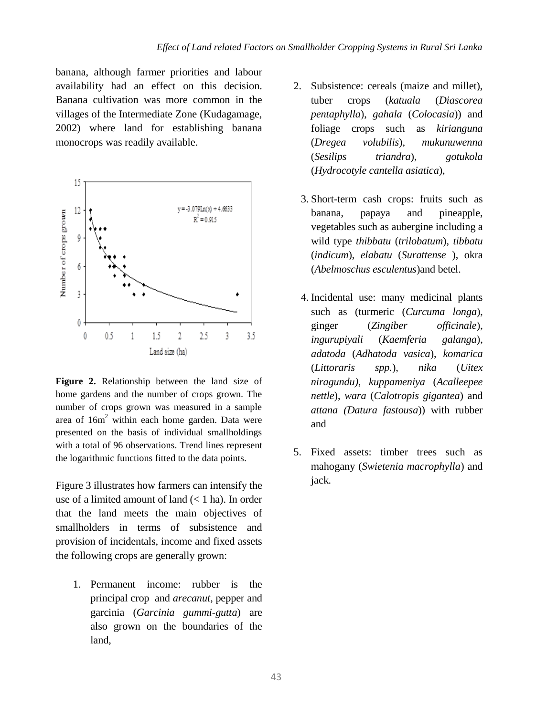banana, although farmer priorities and labour availability had an effect on this decision. Banana cultivation was more common in the villages of the Intermediate Zone (Kudagamage, 2002) where land for establishing banana monocrops was readily available.



**Figure 2.** Relationship between the land size of home gardens and the number of crops grown. The number of crops grown was measured in a sample area of 16m<sup>2</sup> within each home garden. Data were presented on the basis of individual smallholdings with a total of 96 observations. Trend lines represent the logarithmic functions fitted to the data points.

Figure 3 illustrates how farmers can intensify the use of a limited amount of land  $(< 1$  ha). In order that the land meets the main objectives of smallholders in terms of subsistence and provision of incidentals, income and fixed assets the following crops are generally grown:

1. Permanent income: rubber is the principal crop and *arecanut*, pepper and garcinia (*Garcinia gummi-gutta*) are also grown on the boundaries of the land,

- 2. Subsistence: cereals (maize and millet), tuber crops (*katuala* (*Diascorea pentaphylla*), *gahala* (*Colocasia*)) and foliage crops such as *kirianguna*  (*Dregea volubilis*), *mukunuwenna* (*Sesilips triandra*), *gotukola*  (*Hydrocotyle cantella asiatica*),
	- 3. Short-term cash crops: fruits such as banana, papaya and pineapple, vegetables such as aubergine including a wild type *thibbatu* (*trilobatum*), *tibbatu* (*indicum*), *elabatu* (*Surattense* ), okra (*Abelmoschus esculentus*)and betel.
	- 4. Incidental use: many medicinal plants such as (turmeric (*Curcuma longa*), ginger (*Zingiber officinale*), *ingurupiyali* (*Kaemferia galanga*), *adatoda* (*Adhatoda vasica*), *komarica* (*Littoraris spp.*), *nika* (*Uitex niragundu)*, *kuppameniya* (*Acalleepee nettle*), *wara* (*Calotropis gigantea*) and *attana (Datura fastousa*)) with rubber and
- 5. Fixed assets: timber trees such as mahogany (*Swietenia macrophylla*) and jack*.*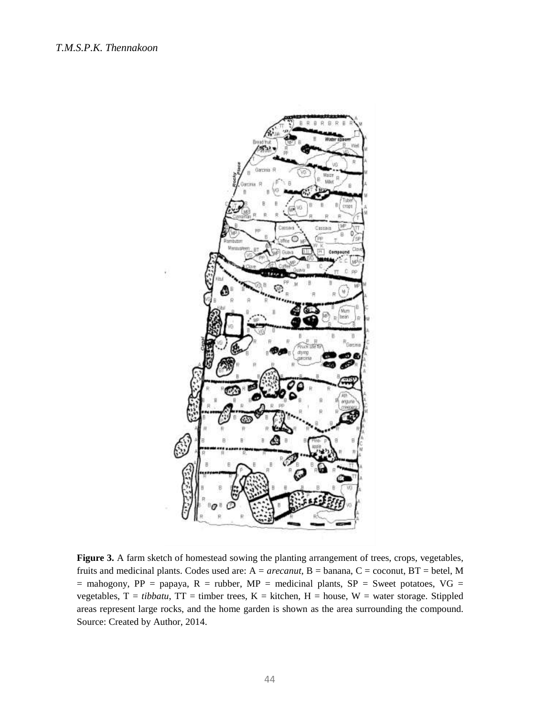

**Figure 3.** A farm sketch of homestead sowing the planting arrangement of trees, crops, vegetables, fruits and medicinal plants. Codes used are: A = *arecanut*, B = banana, C = coconut, BT = betel, M  $=$  mahogony, PP = papaya, R = rubber, MP = medicinal plants, SP = Sweet potatoes, VG = vegetables,  $T = tibbatu$ ,  $TT =$  timber trees,  $K =$  kitchen,  $H =$  house,  $W =$  water storage. Stippled areas represent large rocks, and the home garden is shown as the area surrounding the compound. Source: Created by Author, 2014.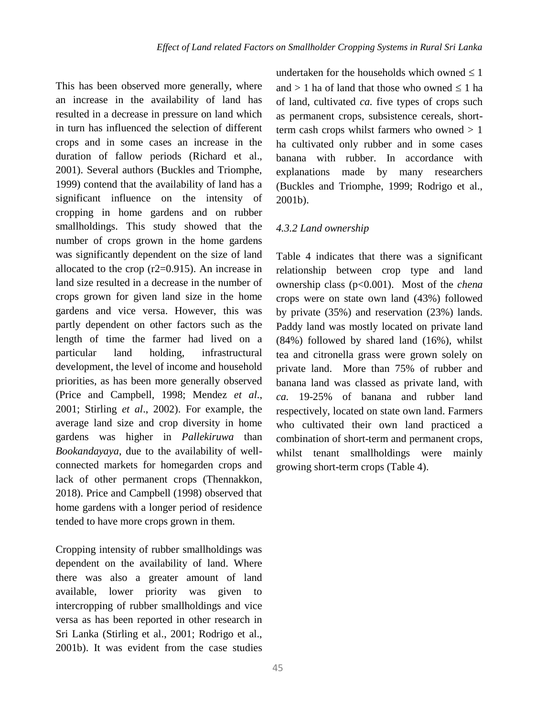This has been observed more generally, where an increase in the availability of land has resulted in a decrease in pressure on land which in turn has influenced the selection of different crops and in some cases an increase in the duration of fallow periods (Richard et al., 2001). Several authors (Buckles and Triomphe, 1999) contend that the availability of land has a significant influence on the intensity of cropping in home gardens and on rubber smallholdings. This study showed that the number of crops grown in the home gardens was significantly dependent on the size of land allocated to the crop (r2=0.915). An increase in land size resulted in a decrease in the number of crops grown for given land size in the home gardens and vice versa. However, this was partly dependent on other factors such as the length of time the farmer had lived on a particular land holding, infrastructural development, the level of income and household priorities, as has been more generally observed (Price and Campbell, 1998; Mendez *et al*., 2001; Stirling *et al*., 2002). For example, the average land size and crop diversity in home gardens was higher in *Pallekiruwa* than *Bookandayaya*, due to the availability of wellconnected markets for homegarden crops and lack of other permanent crops (Thennakkon, 2018). Price and Campbell (1998) observed that home gardens with a longer period of residence tended to have more crops grown in them.

Cropping intensity of rubber smallholdings was dependent on the availability of land. Where there was also a greater amount of land available, lower priority was given to intercropping of rubber smallholdings and vice versa as has been reported in other research in Sri Lanka (Stirling et al., 2001; Rodrigo et al., 2001b). It was evident from the case studies undertaken for the households which owned  $\leq 1$ and  $> 1$  ha of land that those who owned  $\leq 1$  ha of land, cultivated *ca.* five types of crops such as permanent crops, subsistence cereals, shortterm cash crops whilst farmers who owned  $> 1$ ha cultivated only rubber and in some cases banana with rubber. In accordance with explanations made by many researchers (Buckles and Triomphe, 1999; Rodrigo et al., 2001b).

# *4.3.2 Land ownership*

Table 4 indicates that there was a significant relationship between crop type and land ownership class (p<0.001). Most of the *chena* crops were on state own land (43%) followed by private (35%) and reservation (23%) lands. Paddy land was mostly located on private land (84%) followed by shared land (16%), whilst tea and citronella grass were grown solely on private land. More than 75% of rubber and banana land was classed as private land, with *ca.* 19-25% of banana and rubber land respectively, located on state own land. Farmers who cultivated their own land practiced a combination of short-term and permanent crops, whilst tenant smallholdings were mainly growing short-term crops (Table 4).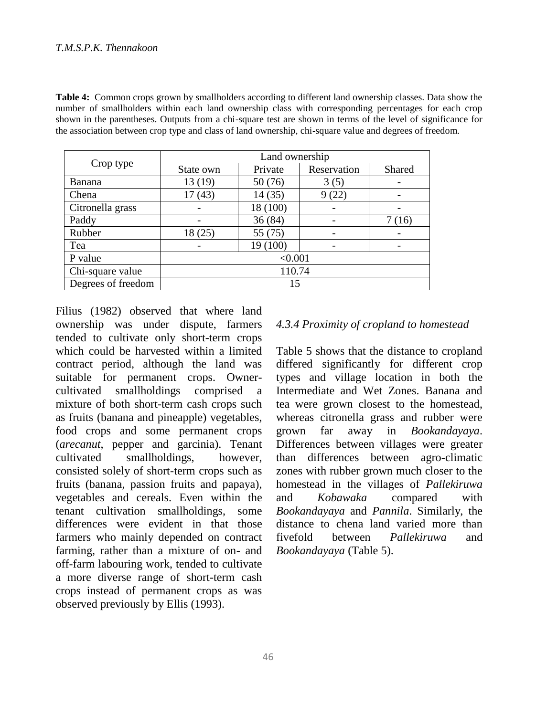**Table 4:** Common crops grown by smallholders according to different land ownership classes. Data show the number of smallholders within each land ownership class with corresponding percentages for each crop shown in the parentheses. Outputs from a chi-square test are shown in terms of the level of significance for the association between crop type and class of land ownership, chi-square value and degrees of freedom.

| Crop type          | Land ownership |          |             |        |  |
|--------------------|----------------|----------|-------------|--------|--|
|                    | State own      | Private  | Reservation | Shared |  |
| Banana             | 13 (19)        | 50(76)   | 3(5)        |        |  |
| Chena              | 17(43)         | 14(35)   | 9(22)       |        |  |
| Citronella grass   |                | 18 (100) |             |        |  |
| Paddy              |                | 36(84)   |             | 7(16)  |  |
| Rubber             | 18 (25)        | 55 (75)  |             |        |  |
| Tea                |                | 19 (100) |             |        |  |
| P value            | < 0.001        |          |             |        |  |
| Chi-square value   | 110.74         |          |             |        |  |
| Degrees of freedom | 15             |          |             |        |  |

Filius (1982) observed that where land ownership was under dispute, farmers tended to cultivate only short-term crops which could be harvested within a limited contract period, although the land was suitable for permanent crops. Ownercultivated smallholdings comprised a mixture of both short-term cash crops such as fruits (banana and pineapple) vegetables, food crops and some permanent crops (*arecanut*, pepper and garcinia). Tenant cultivated smallholdings, however, consisted solely of short-term crops such as fruits (banana, passion fruits and papaya), vegetables and cereals. Even within the tenant cultivation smallholdings, some differences were evident in that those farmers who mainly depended on contract farming, rather than a mixture of on- and off-farm labouring work, tended to cultivate a more diverse range of short-term cash crops instead of permanent crops as was observed previously by Ellis (1993).

# *4.3.4 Proximity of cropland to homestead*

Table 5 shows that the distance to cropland differed significantly for different crop types and village location in both the Intermediate and Wet Zones. Banana and tea were grown closest to the homestead, whereas citronella grass and rubber were grown far away in *Bookandayaya*. Differences between villages were greater than differences between agro-climatic zones with rubber grown much closer to the homestead in the villages of *Pallekiruwa* and *Kobawaka* compared with *Bookandayaya* and *Pannila*. Similarly, the distance to chena land varied more than fivefold between *Pallekiruwa* and *Bookandayaya* (Table 5).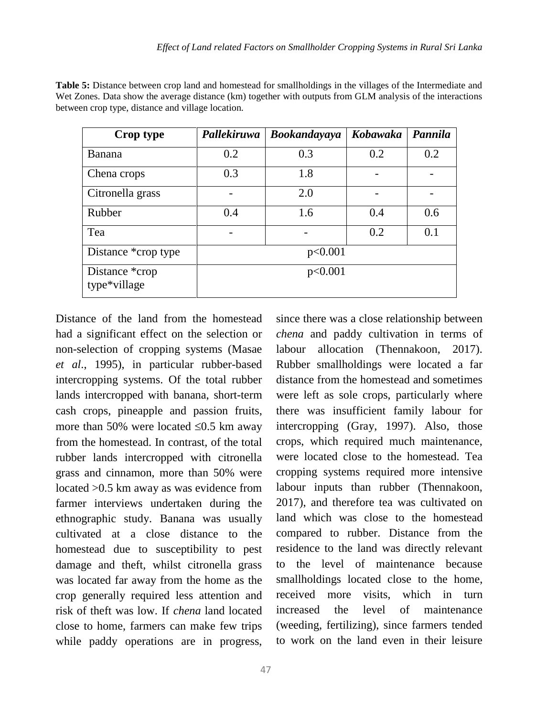| Crop type                      | Pallekiruwa | <b>Bookandayaya</b> | Kobawaka | Pannila |
|--------------------------------|-------------|---------------------|----------|---------|
| Banana                         | 0.2         | 0.3                 | 0.2      | 0.2     |
| Chena crops                    | 0.3         | 1.8                 |          |         |
| Citronella grass               |             | 2.0                 |          |         |
| Rubber                         | 0.4         | 1.6                 | 0.4      | 0.6     |
| Tea                            |             |                     | 0.2      | 0.1     |
| Distance *crop type            | p<0.001     |                     |          |         |
| Distance *crop<br>type*village | p<0.001     |                     |          |         |

**Table 5:** Distance between crop land and homestead for smallholdings in the villages of the Intermediate and Wet Zones. Data show the average distance (km) together with outputs from GLM analysis of the interactions between crop type, distance and village location.

Distance of the land from the homestead had a significant effect on the selection or non-selection of cropping systems (Masae *et al*., 1995), in particular rubber-based intercropping systems. Of the total rubber lands intercropped with banana, short-term cash crops, pineapple and passion fruits, more than 50% were located  $\leq 0.5$  km away from the homestead. In contrast, of the total rubber lands intercropped with citronella grass and cinnamon, more than 50% were located >0.5 km away as was evidence from farmer interviews undertaken during the ethnographic study. Banana was usually cultivated at a close distance to the homestead due to susceptibility to pest damage and theft, whilst citronella grass was located far away from the home as the crop generally required less attention and risk of theft was low. If *chena* land located close to home, farmers can make few trips while paddy operations are in progress,

since there was a close relationship between *chena* and paddy cultivation in terms of labour allocation (Thennakoon, 2017). Rubber smallholdings were located a far distance from the homestead and sometimes were left as sole crops, particularly where there was insufficient family labour for intercropping (Gray, 1997). Also, those crops, which required much maintenance, were located close to the homestead. Tea cropping systems required more intensive labour inputs than rubber (Thennakoon, 2017), and therefore tea was cultivated on land which was close to the homestead compared to rubber. Distance from the residence to the land was directly relevant to the level of maintenance because smallholdings located close to the home, received more visits, which in turn increased the level of maintenance (weeding, fertilizing), since farmers tended to work on the land even in their leisure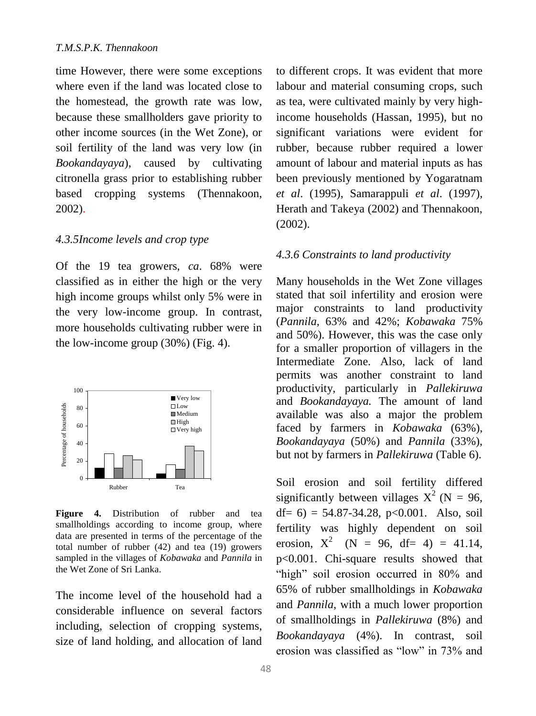time However, there were some exceptions where even if the land was located close to the homestead, the growth rate was low, because these smallholders gave priority to other income sources (in the Wet Zone), or soil fertility of the land was very low (in *Bookandayaya*), caused by cultivating citronella grass prior to establishing rubber based cropping systems (Thennakoon, 2002).

# *4.3.5Income levels and crop type*

Of the 19 tea growers, *ca*. 68% were classified as in either the high or the very high income groups whilst only 5% were in the very low-income group. In contrast, more households cultivating rubber were in the low-income group (30%) (Fig. 4).



**Figure 4.** Distribution of rubber and tea smallholdings according to income group, where data are presented in terms of the percentage of the total number of rubber (42) and tea (19) growers sampled in the villages of *Kobawaka* and *Pannila* in the Wet Zone of Sri Lanka.

The income level of the household had a considerable influence on several factors including, selection of cropping systems, size of land holding, and allocation of land to different crops. It was evident that more labour and material consuming crops, such as tea, were cultivated mainly by very highincome households (Hassan, 1995), but no significant variations were evident for rubber, because rubber required a lower amount of labour and material inputs as has been previously mentioned by Yogaratnam *et al*. (1995), Samarappuli *et al*. (1997), Herath and Takeya (2002) and Thennakoon, (2002).

#### *4.3.6 Constraints to land productivity*

Many households in the Wet Zone villages stated that soil infertility and erosion were major constraints to land productivity (*Pannila,* 63% and 42%; *Kobawaka* 75% and 50%). However, this was the case only for a smaller proportion of villagers in the Intermediate Zone. Also, lack of land permits was another constraint to land productivity, particularly in *Pallekiruwa* and *Bookandayaya.* The amount of land available was also a major the problem faced by farmers in *Kobawaka* (63%), *Bookandayaya* (50%) and *Pannila* (33%), but not by farmers in *Pallekiruwa* (Table 6).

Soil erosion and soil fertility differed significantly between villages  $X^2$  (N = 96, df=  $6$ ) = 54.87-34.28, p<0.001. Also, soil fertility was highly dependent on soil erosion,  $X^2$  (N = 96, df= 4) = 41.14, p<0.001. Chi-square results showed that "high" soil erosion occurred in 80% and 65% of rubber smallholdings in *Kobawaka* and *Pannila*, with a much lower proportion of smallholdings in *Pallekiruwa* (8%) and *Bookandayaya* (4%). In contrast, soil erosion was classified as "low" in 73% and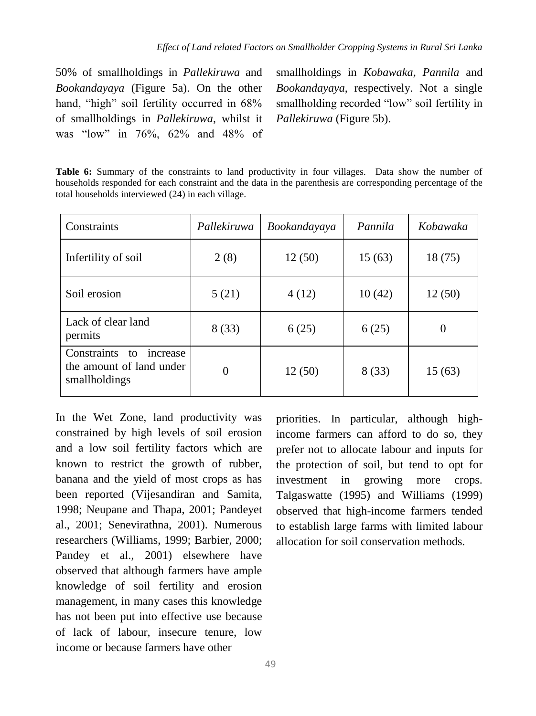50% of smallholdings in *Pallekiruwa* and *Bookandayaya* (Figure 5a). On the other hand, "high" soil fertility occurred in  $68\%$ of smallholdings in *Pallekiruwa*, whilst it was "low" in 76%, 62% and 48% of smallholdings in *Kobawaka*, *Pannila* and *Bookandayaya*, respectively. Not a single smallholding recorded "low" soil fertility in *Pallekiruwa* (Figure 5b).

**Table 6:** Summary of the constraints to land productivity in four villages. Data show the number of households responded for each constraint and the data in the parenthesis are corresponding percentage of the total households interviewed (24) in each village.

| Constraints                                                                | Pallekiruwa | Bookandayaya | Pannila | Kobawaka |
|----------------------------------------------------------------------------|-------------|--------------|---------|----------|
| Infertility of soil                                                        | 2(8)        | 12(50)       | 15(63)  | 18(75)   |
| Soil erosion                                                               | 5(21)       | 4(12)        | 10(42)  | 12(50)   |
| Lack of clear land<br>permits                                              | 8(33)       | 6(25)        | 6(25)   | $\theta$ |
| Constraints<br>increase<br>to<br>the amount of land under<br>smallholdings | 0           | 12(50)       | 8(33)   | 15(63)   |

In the Wet Zone, land productivity was constrained by high levels of soil erosion and a low soil fertility factors which are known to restrict the growth of rubber, banana and the yield of most crops as has been reported (Vijesandiran and Samita, 1998; Neupane and Thapa, 2001; Pandeyet al., 2001; Senevirathna, 2001). Numerous researchers (Williams, 1999; Barbier, 2000; Pandey et al., 2001) elsewhere have observed that although farmers have ample knowledge of soil fertility and erosion management, in many cases this knowledge has not been put into effective use because of lack of labour, insecure tenure, low income or because farmers have other

priorities. In particular, although highincome farmers can afford to do so, they prefer not to allocate labour and inputs for the protection of soil, but tend to opt for investment in growing more crops. Talgaswatte (1995) and Williams (1999) observed that high-income farmers tended to establish large farms with limited labour allocation for soil conservation methods.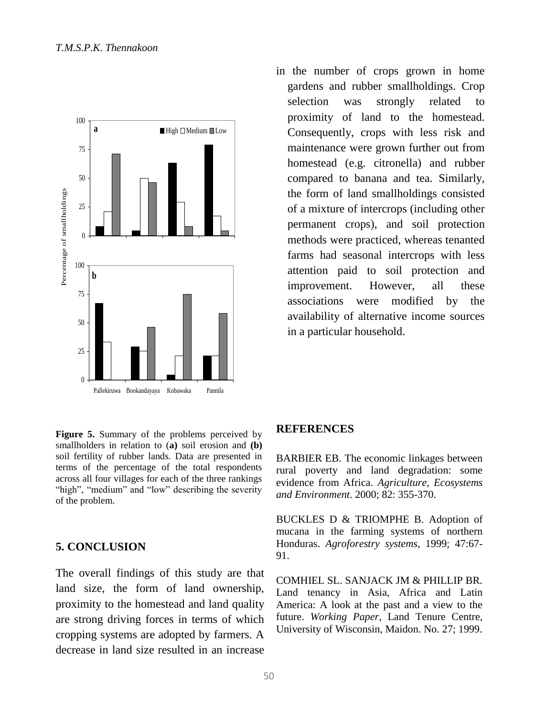

in the number of crops grown in home gardens and rubber smallholdings. Crop selection was strongly related to proximity of land to the homestead. Consequently, crops with less risk and maintenance were grown further out from homestead (e.g. citronella) and rubber compared to banana and tea. Similarly, the form of land smallholdings consisted of a mixture of intercrops (including other permanent crops), and soil protection methods were practiced, whereas tenanted farms had seasonal intercrops with less attention paid to soil protection and improvement. However, all these associations were modified by the availability of alternative income sources in a particular household.

**Figure 5.** Summary of the problems perceived by smallholders in relation to (**a)** soil erosion and **(b)** soil fertility of rubber lands. Data are presented in terms of the percentage of the total respondents across all four villages for each of the three rankings "high", "medium" and "low" describing the severity of the problem.

# **5. CONCLUSION**

The overall findings of this study are that land size, the form of land ownership, proximity to the homestead and land quality are strong driving forces in terms of which cropping systems are adopted by farmers. A decrease in land size resulted in an increase

#### **REFERENCES**

BARBIER EB. The economic linkages between rural poverty and land degradation: some evidence from Africa. *Agriculture, Ecosystems and Environment*. 2000; 82: 355-370.

BUCKLES D & TRIOMPHE B. Adoption of mucana in the farming systems of northern Honduras. *Agroforestry systems*, 1999; 47:67- 91.

COMHIEL SL. SANJACK JM & PHILLIP BR. Land tenancy in Asia, Africa and Latin America: A look at the past and a view to the future. *Working Paper*, Land Tenure Centre, University of Wisconsin, Maidon. No. 27; 1999.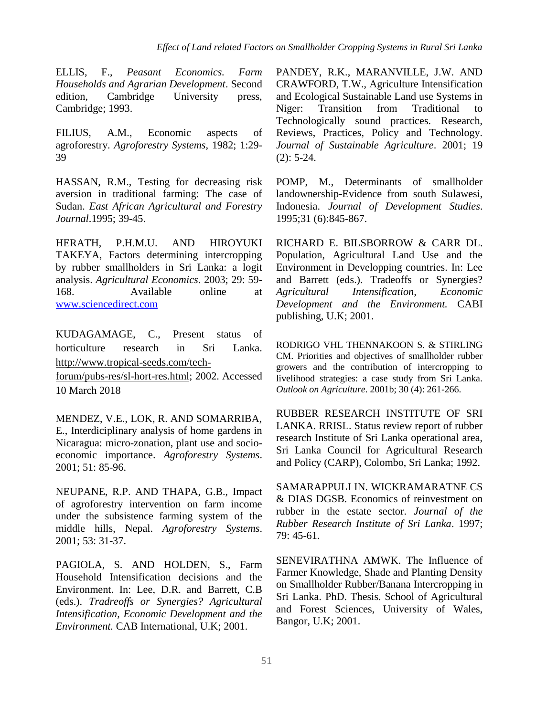ELLIS, F., *Peasant Economics. Farm Households and Agrarian Development*. Second edition, Cambridge University press, Cambridge; 1993.

FILIUS, A.M., Economic aspects of agroforestry. *Agroforestry Systems*, 1982; 1:29- 39

HASSAN, R.M., Testing for decreasing risk aversion in traditional farming: The case of Sudan. *East African Agricultural and Forestry Journal*.1995; 39-45.

HERATH, P.H.M.U. AND HIROYUKI TAKEYA, Factors determining intercropping by rubber smallholders in Sri Lanka: a logit analysis. *Agricultural Economics*. 2003; 29: 59- 168. Available online at [www.sciencedirect.com](http://www.sciencedirect.com/)

KUDAGAMAGE, C., Present status of horticulture research in Sri Lanka. [http://www.tropical-seeds.com/tech-](http://www.tropical-seeds.com/tech-forum/pubs-res/sl-hort-res.html)

[forum/pubs-res/sl-hort-res.html;](http://www.tropical-seeds.com/tech-forum/pubs-res/sl-hort-res.html) 2002. Accessed 10 March 2018

MENDEZ, V.E., LOK, R. AND SOMARRIBA, E., Interdiciplinary analysis of home gardens in Nicaragua: micro-zonation, plant use and socioeconomic importance. *Agroforestry Systems*. 2001; 51: 85-96.

NEUPANE, R.P. AND THAPA, G.B., Impact of agroforestry intervention on farm income under the subsistence farming system of the middle hills, Nepal. *Agroforestry Systems*. 2001; 53: 31-37.

PAGIOLA, S. AND HOLDEN, S., Farm Household Intensification decisions and the Environment. In: Lee, D.R. and Barrett, C.B (eds.). *Tradreoffs or Synergies? Agricultural Intensification, Economic Development and the Environment.* CAB International, U.K; 2001.

PANDEY, R.K., MARANVILLE, J.W. AND CRAWFORD, T.W., Agriculture Intensification and Ecological Sustainable Land use Systems in Niger: Transition from Traditional to Technologically sound practices. Research, Reviews, Practices, Policy and Technology. *Journal of Sustainable Agriculture*. 2001; 19 (2): 5-24.

POMP, M., Determinants of smallholder landownership-Evidence from south Sulawesi, Indonesia. *Journal of Development Studies*. 1995;31 (6):845-867.

RICHARD E. BILSBORROW & CARR DL. Population, Agricultural Land Use and the Environment in Developping countries. In: Lee and Barrett (eds.). Tradeoffs or Synergies? *Agricultural Intensification, Economic Development and the Environment.* CABI publishing, U.K; 2001.

RODRIGO VHL THENNAKOON S. & STIRLING CM. Priorities and objectives of smallholder rubber growers and the contribution of intercropping to livelihood strategies: a case study from Sri Lanka. *Outlook on Agriculture*. 2001b; 30 (4): 261-266.

RUBBER RESEARCH INSTITUTE OF SRI LANKA. RRISL. Status review report of rubber research Institute of Sri Lanka operational area, Sri Lanka Council for Agricultural Research and Policy (CARP), Colombo, Sri Lanka; 1992.

SAMARAPPULI IN. WICKRAMARATNE CS & DIAS DGSB. Economics of reinvestment on rubber in the estate sector. *Journal of the Rubber Research Institute of Sri Lanka*. 1997; 79: 45-61.

SENEVIRATHNA AMWK. The Influence of Farmer Knowledge, Shade and Planting Density on Smallholder Rubber/Banana Intercropping in Sri Lanka. PhD. Thesis. School of Agricultural and Forest Sciences, University of Wales, Bangor, U.K; 2001.